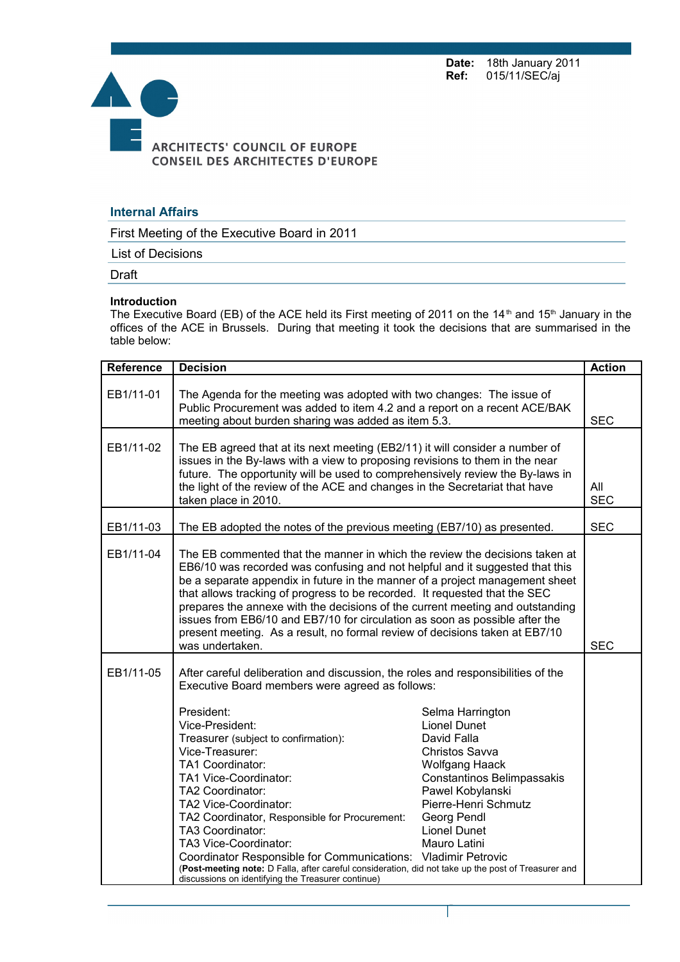**Date:** 18th January 2011<br>**Ref:** 015/11/SEC/aj **Ref:** 015/11/SEC/aj



## **Internal Affairs**

First Meeting of the Executive Board in 2011

List of Decisions

Draft

## **Introduction**

The Executive Board (EB) of the ACE held its First meeting of 2011 on the 14<sup>th</sup> and 15<sup>th</sup> January in the offices of the ACE in Brussels. During that meeting it took the decisions that are summarised in the table below:

| Reference | <b>Decision</b>                                                                                                                                                                                                                                                                                                                                                                                                                                                                                                                                                                                                                     |                                                                                                                                                                                                                                                        |                   |
|-----------|-------------------------------------------------------------------------------------------------------------------------------------------------------------------------------------------------------------------------------------------------------------------------------------------------------------------------------------------------------------------------------------------------------------------------------------------------------------------------------------------------------------------------------------------------------------------------------------------------------------------------------------|--------------------------------------------------------------------------------------------------------------------------------------------------------------------------------------------------------------------------------------------------------|-------------------|
| EB1/11-01 | The Agenda for the meeting was adopted with two changes: The issue of<br>Public Procurement was added to item 4.2 and a report on a recent ACE/BAK<br>meeting about burden sharing was added as item 5.3.                                                                                                                                                                                                                                                                                                                                                                                                                           |                                                                                                                                                                                                                                                        | <b>SEC</b>        |
| EB1/11-02 | The EB agreed that at its next meeting (EB2/11) it will consider a number of<br>issues in the By-laws with a view to proposing revisions to them in the near<br>future. The opportunity will be used to comprehensively review the By-laws in<br>the light of the review of the ACE and changes in the Secretariat that have<br>taken place in 2010.                                                                                                                                                                                                                                                                                |                                                                                                                                                                                                                                                        | All<br><b>SEC</b> |
| EB1/11-03 | The EB adopted the notes of the previous meeting (EB7/10) as presented.                                                                                                                                                                                                                                                                                                                                                                                                                                                                                                                                                             |                                                                                                                                                                                                                                                        | <b>SEC</b>        |
| EB1/11-04 | The EB commented that the manner in which the review the decisions taken at<br>EB6/10 was recorded was confusing and not helpful and it suggested that this<br>be a separate appendix in future in the manner of a project management sheet<br>that allows tracking of progress to be recorded. It requested that the SEC<br>prepares the annexe with the decisions of the current meeting and outstanding<br>issues from EB6/10 and EB7/10 for circulation as soon as possible after the<br>present meeting. As a result, no formal review of decisions taken at EB7/10<br>was undertaken.                                         |                                                                                                                                                                                                                                                        | <b>SEC</b>        |
| EB1/11-05 | After careful deliberation and discussion, the roles and responsibilities of the<br>Executive Board members were agreed as follows:<br>President:<br>Vice-President:<br>Treasurer (subject to confirmation):<br>Vice-Treasurer:<br>TA1 Coordinator:<br>TA1 Vice-Coordinator:<br>TA2 Coordinator:<br>TA2 Vice-Coordinator:<br>TA2 Coordinator, Responsible for Procurement:<br>TA3 Coordinator:<br>TA3 Vice-Coordinator:<br>Coordinator Responsible for Communications:<br>(Post-meeting note: D Falla, after careful consideration, did not take up the post of Treasurer and<br>discussions on identifying the Treasurer continue) | Selma Harrington<br><b>Lionel Dunet</b><br>David Falla<br>Christos Savva<br>Wolfgang Haack<br>Constantinos Belimpassakis<br>Pawel Kobylanski<br>Pierre-Henri Schmutz<br>Georg Pendl<br><b>Lionel Dunet</b><br>Mauro Latini<br><b>Vladimir Petrovic</b> |                   |

Page 1 sur 5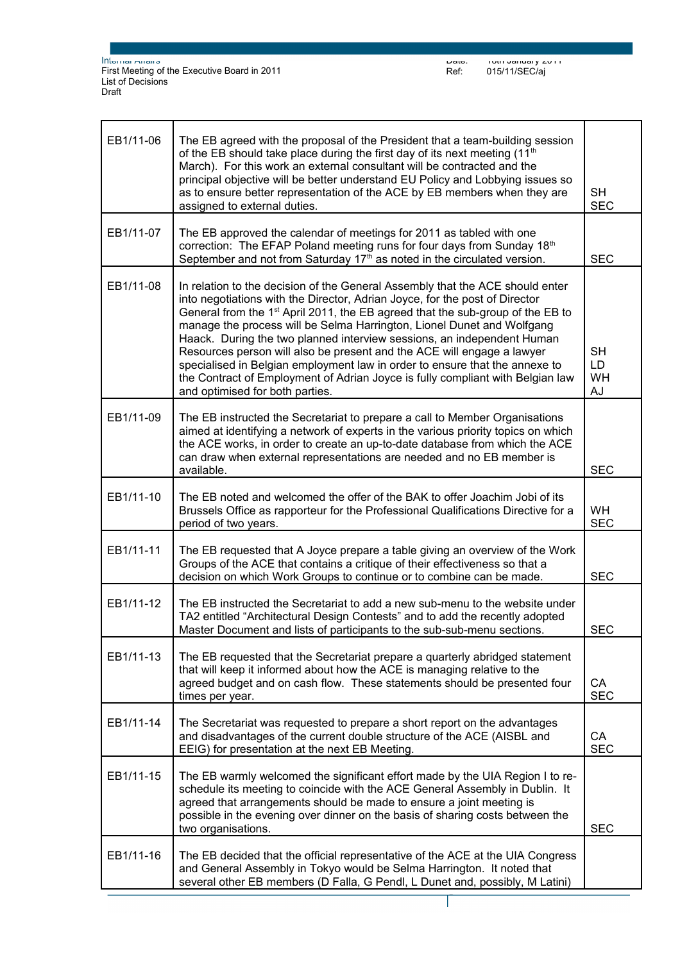Date: 18th January 2011 Ref: 015/11/SEC/aj

| EB1/11-06 | The EB agreed with the proposal of the President that a team-building session<br>of the EB should take place during the first day of its next meeting (11 <sup>th</sup><br>March). For this work an external consultant will be contracted and the<br>principal objective will be better understand EU Policy and Lobbying issues so<br>as to ensure better representation of the ACE by EB members when they are<br>assigned to external duties.                                                                                                                                                                                                                                            |                              |
|-----------|----------------------------------------------------------------------------------------------------------------------------------------------------------------------------------------------------------------------------------------------------------------------------------------------------------------------------------------------------------------------------------------------------------------------------------------------------------------------------------------------------------------------------------------------------------------------------------------------------------------------------------------------------------------------------------------------|------------------------------|
| EB1/11-07 | The EB approved the calendar of meetings for 2011 as tabled with one<br>correction: The EFAP Poland meeting runs for four days from Sunday 18th<br>September and not from Saturday $17th$ as noted in the circulated version.                                                                                                                                                                                                                                                                                                                                                                                                                                                                | <b>SEC</b>                   |
| EB1/11-08 | In relation to the decision of the General Assembly that the ACE should enter<br>into negotiations with the Director, Adrian Joyce, for the post of Director<br>General from the 1 <sup>st</sup> April 2011, the EB agreed that the sub-group of the EB to<br>manage the process will be Selma Harrington, Lionel Dunet and Wolfgang<br>Haack. During the two planned interview sessions, an independent Human<br>Resources person will also be present and the ACE will engage a lawyer<br>specialised in Belgian employment law in order to ensure that the annexe to<br>the Contract of Employment of Adrian Joyce is fully compliant with Belgian law<br>and optimised for both parties. | <b>SH</b><br>LD.<br>WH<br>AJ |
| EB1/11-09 | The EB instructed the Secretariat to prepare a call to Member Organisations<br>aimed at identifying a network of experts in the various priority topics on which<br>the ACE works, in order to create an up-to-date database from which the ACE<br>can draw when external representations are needed and no EB member is<br>available.                                                                                                                                                                                                                                                                                                                                                       | <b>SEC</b>                   |
| EB1/11-10 | The EB noted and welcomed the offer of the BAK to offer Joachim Jobi of its<br>Brussels Office as rapporteur for the Professional Qualifications Directive for a<br>period of two years.                                                                                                                                                                                                                                                                                                                                                                                                                                                                                                     | <b>WH</b><br><b>SEC</b>      |
| EB1/11-11 | The EB requested that A Joyce prepare a table giving an overview of the Work<br>Groups of the ACE that contains a critique of their effectiveness so that a<br>decision on which Work Groups to continue or to combine can be made.                                                                                                                                                                                                                                                                                                                                                                                                                                                          | <b>SEC</b>                   |
| EB1/11-12 | The EB instructed the Secretariat to add a new sub-menu to the website under<br>TA2 entitled "Architectural Design Contests" and to add the recently adopted<br>Master Document and lists of participants to the sub-sub-menu sections.                                                                                                                                                                                                                                                                                                                                                                                                                                                      | <b>SEC</b>                   |
| EB1/11-13 | The EB requested that the Secretariat prepare a quarterly abridged statement<br>that will keep it informed about how the ACE is managing relative to the<br>agreed budget and on cash flow. These statements should be presented four<br>times per year.                                                                                                                                                                                                                                                                                                                                                                                                                                     | CA<br><b>SEC</b>             |
| EB1/11-14 | The Secretariat was requested to prepare a short report on the advantages<br>and disadvantages of the current double structure of the ACE (AISBL and<br>EEIG) for presentation at the next EB Meeting.                                                                                                                                                                                                                                                                                                                                                                                                                                                                                       | CA<br><b>SEC</b>             |
| EB1/11-15 | The EB warmly welcomed the significant effort made by the UIA Region I to re-<br>schedule its meeting to coincide with the ACE General Assembly in Dublin. It<br>agreed that arrangements should be made to ensure a joint meeting is<br>possible in the evening over dinner on the basis of sharing costs between the<br>two organisations.                                                                                                                                                                                                                                                                                                                                                 | <b>SEC</b>                   |
| EB1/11-16 | The EB decided that the official representative of the ACE at the UIA Congress<br>and General Assembly in Tokyo would be Selma Harrington. It noted that<br>several other EB members (D Falla, G Pendl, L Dunet and, possibly, M Latini)                                                                                                                                                                                                                                                                                                                                                                                                                                                     |                              |

Page 2 sur 5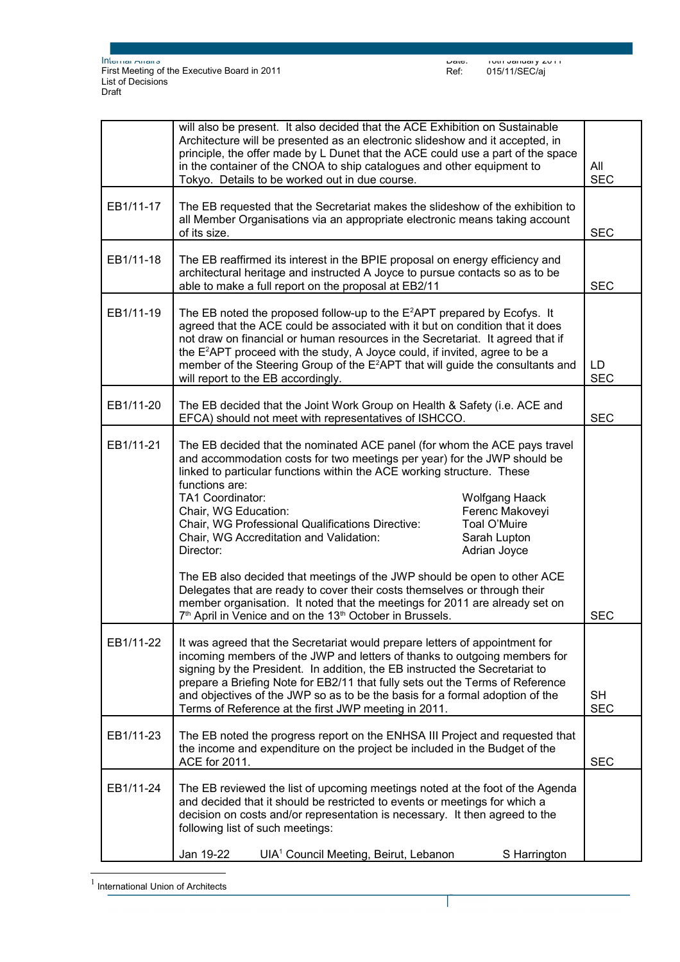|           | will also be present. It also decided that the ACE Exhibition on Sustainable<br>Architecture will be presented as an electronic slideshow and it accepted, in<br>principle, the offer made by L Dunet that the ACE could use a part of the space<br>in the container of the CNOA to ship catalogues and other equipment to<br>Tokyo. Details to be worked out in due course.                                                                                                                                                                                                                                                                                                                                                                                                                                                      |            |  |
|-----------|-----------------------------------------------------------------------------------------------------------------------------------------------------------------------------------------------------------------------------------------------------------------------------------------------------------------------------------------------------------------------------------------------------------------------------------------------------------------------------------------------------------------------------------------------------------------------------------------------------------------------------------------------------------------------------------------------------------------------------------------------------------------------------------------------------------------------------------|------------|--|
| EB1/11-17 | The EB requested that the Secretariat makes the slideshow of the exhibition to<br>all Member Organisations via an appropriate electronic means taking account<br>of its size.                                                                                                                                                                                                                                                                                                                                                                                                                                                                                                                                                                                                                                                     |            |  |
| EB1/11-18 | The EB reaffirmed its interest in the BPIE proposal on energy efficiency and<br>architectural heritage and instructed A Joyce to pursue contacts so as to be<br>able to make a full report on the proposal at EB2/11                                                                                                                                                                                                                                                                                                                                                                                                                                                                                                                                                                                                              |            |  |
| EB1/11-19 | The EB noted the proposed follow-up to the $E^2$ APT prepared by Ecofys. It<br>agreed that the ACE could be associated with it but on condition that it does<br>not draw on financial or human resources in the Secretariat. It agreed that if<br>the E <sup>2</sup> APT proceed with the study, A Joyce could, if invited, agree to be a<br>member of the Steering Group of the E <sup>2</sup> APT that will guide the consultants and<br>will report to the EB accordingly.                                                                                                                                                                                                                                                                                                                                                     |            |  |
| EB1/11-20 | The EB decided that the Joint Work Group on Health & Safety (i.e. ACE and<br>EFCA) should not meet with representatives of ISHCCO.                                                                                                                                                                                                                                                                                                                                                                                                                                                                                                                                                                                                                                                                                                |            |  |
| EB1/11-21 | The EB decided that the nominated ACE panel (for whom the ACE pays travel<br>and accommodation costs for two meetings per year) for the JWP should be<br>linked to particular functions within the ACE working structure. These<br>functions are:<br>TA1 Coordinator:<br><b>Wolfgang Haack</b><br>Ferenc Makoveyi<br>Chair, WG Education:<br>Chair, WG Professional Qualifications Directive:<br>Toal O'Muire<br>Chair, WG Accreditation and Validation:<br>Sarah Lupton<br>Director:<br>Adrian Joyce<br>The EB also decided that meetings of the JWP should be open to other ACE<br>Delegates that are ready to cover their costs themselves or through their<br>member organisation. It noted that the meetings for 2011 are already set on<br>7 <sup>th</sup> April in Venice and on the 13 <sup>th</sup> October in Brussels. | <b>SEC</b> |  |
| EB1/11-22 | It was agreed that the Secretariat would prepare letters of appointment for<br>incoming members of the JWP and letters of thanks to outgoing members for<br>signing by the President. In addition, the EB instructed the Secretariat to<br>prepare a Briefing Note for EB2/11 that fully sets out the Terms of Reference<br>and objectives of the JWP so as to be the basis for a formal adoption of the<br>Terms of Reference at the first JWP meeting in 2011.                                                                                                                                                                                                                                                                                                                                                                  |            |  |
| EB1/11-23 | The EB noted the progress report on the ENHSA III Project and requested that<br>the income and expenditure on the project be included in the Budget of the<br>ACE for 2011.                                                                                                                                                                                                                                                                                                                                                                                                                                                                                                                                                                                                                                                       |            |  |
| EB1/11-24 | The EB reviewed the list of upcoming meetings noted at the foot of the Agenda<br>and decided that it should be restricted to events or meetings for which a<br>decision on costs and/or representation is necessary. It then agreed to the<br>following list of such meetings:                                                                                                                                                                                                                                                                                                                                                                                                                                                                                                                                                    |            |  |
|           | Jan 19-22<br>UIA <sup>1</sup> Council Meeting, Beirut, Lebanon<br>S Harrington                                                                                                                                                                                                                                                                                                                                                                                                                                                                                                                                                                                                                                                                                                                                                    |            |  |

Page 3 sur 5

 $\overline{\phantom{a}}$ 

<span id="page-2-0"></span> $<sup>1</sup>$  International Union of Architects</sup>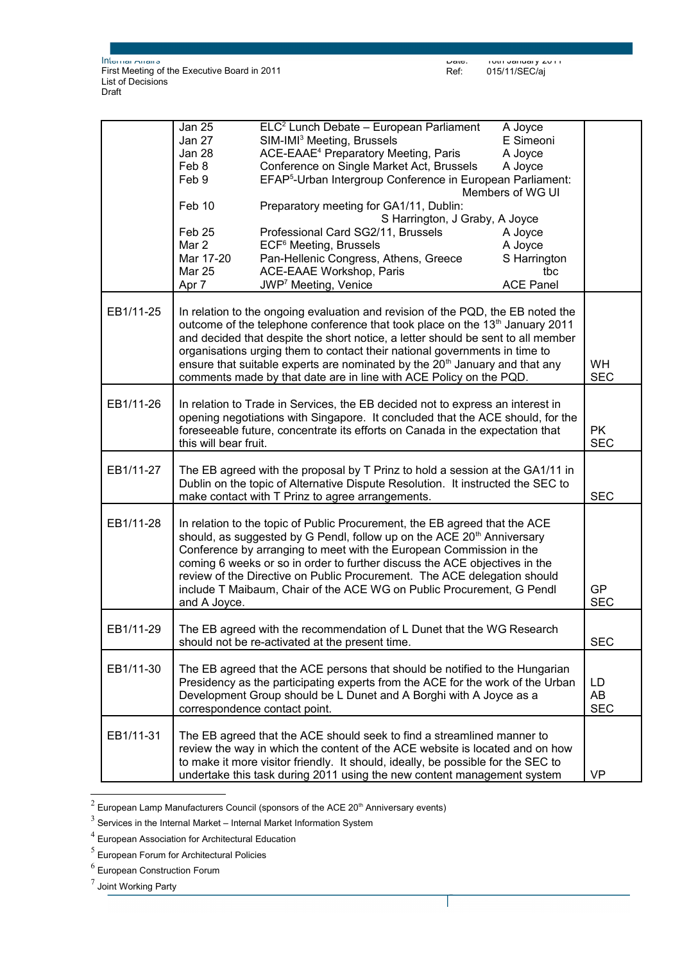|           | <b>Jan 25</b>                                                                                                                                                                                                                                                                                                                                                                                                                | ELC <sup>2</sup> Lunch Debate - European Parliament<br>A Joyce                                                                                                                                                                                                                                                                                                                                                                                                             |                         |
|-----------|------------------------------------------------------------------------------------------------------------------------------------------------------------------------------------------------------------------------------------------------------------------------------------------------------------------------------------------------------------------------------------------------------------------------------|----------------------------------------------------------------------------------------------------------------------------------------------------------------------------------------------------------------------------------------------------------------------------------------------------------------------------------------------------------------------------------------------------------------------------------------------------------------------------|-------------------------|
|           | Jan 27                                                                                                                                                                                                                                                                                                                                                                                                                       | SIM-IMI <sup>3</sup> Meeting, Brussels<br>E Simeoni                                                                                                                                                                                                                                                                                                                                                                                                                        |                         |
|           | Jan 28                                                                                                                                                                                                                                                                                                                                                                                                                       | ACE-EAAE <sup>4</sup> Preparatory Meeting, Paris<br>A Joyce                                                                                                                                                                                                                                                                                                                                                                                                                |                         |
|           | Feb 8                                                                                                                                                                                                                                                                                                                                                                                                                        | Conference on Single Market Act, Brussels<br>A Joyce                                                                                                                                                                                                                                                                                                                                                                                                                       |                         |
|           | Feb 9                                                                                                                                                                                                                                                                                                                                                                                                                        | EFAP <sup>5</sup> -Urban Intergroup Conference in European Parliament:                                                                                                                                                                                                                                                                                                                                                                                                     |                         |
|           |                                                                                                                                                                                                                                                                                                                                                                                                                              | Members of WG UI                                                                                                                                                                                                                                                                                                                                                                                                                                                           |                         |
|           | Feb 10                                                                                                                                                                                                                                                                                                                                                                                                                       | Preparatory meeting for GA1/11, Dublin:                                                                                                                                                                                                                                                                                                                                                                                                                                    |                         |
|           | S Harrington, J Graby, A Joyce                                                                                                                                                                                                                                                                                                                                                                                               |                                                                                                                                                                                                                                                                                                                                                                                                                                                                            |                         |
|           | Feb <sub>25</sub>                                                                                                                                                                                                                                                                                                                                                                                                            | Professional Card SG2/11, Brussels<br>A Joyce                                                                                                                                                                                                                                                                                                                                                                                                                              |                         |
|           | Mar 2                                                                                                                                                                                                                                                                                                                                                                                                                        | ECF <sup>6</sup> Meeting, Brussels<br>A Joyce                                                                                                                                                                                                                                                                                                                                                                                                                              |                         |
|           | Mar 17-20                                                                                                                                                                                                                                                                                                                                                                                                                    | Pan-Hellenic Congress, Athens, Greece<br>S Harrington                                                                                                                                                                                                                                                                                                                                                                                                                      |                         |
|           | <b>Mar 25</b>                                                                                                                                                                                                                                                                                                                                                                                                                | ACE-EAAE Workshop, Paris<br>tbc                                                                                                                                                                                                                                                                                                                                                                                                                                            |                         |
|           | Apr 7                                                                                                                                                                                                                                                                                                                                                                                                                        | JWP <sup>7</sup> Meeting, Venice<br><b>ACE Panel</b>                                                                                                                                                                                                                                                                                                                                                                                                                       |                         |
|           |                                                                                                                                                                                                                                                                                                                                                                                                                              |                                                                                                                                                                                                                                                                                                                                                                                                                                                                            |                         |
| EB1/11-25 | In relation to the ongoing evaluation and revision of the PQD, the EB noted the<br>outcome of the telephone conference that took place on the 13th January 2011<br>and decided that despite the short notice, a letter should be sent to all member<br>organisations urging them to contact their national governments in time to<br>ensure that suitable experts are nominated by the 20 <sup>th</sup> January and that any |                                                                                                                                                                                                                                                                                                                                                                                                                                                                            | <b>WH</b><br><b>SEC</b> |
|           |                                                                                                                                                                                                                                                                                                                                                                                                                              | comments made by that date are in line with ACE Policy on the PQD.                                                                                                                                                                                                                                                                                                                                                                                                         |                         |
| EB1/11-26 | this will bear fruit.                                                                                                                                                                                                                                                                                                                                                                                                        | In relation to Trade in Services, the EB decided not to express an interest in<br>opening negotiations with Singapore. It concluded that the ACE should, for the<br>foreseeable future, concentrate its efforts on Canada in the expectation that                                                                                                                                                                                                                          | <b>PK</b><br><b>SEC</b> |
|           |                                                                                                                                                                                                                                                                                                                                                                                                                              |                                                                                                                                                                                                                                                                                                                                                                                                                                                                            |                         |
| EB1/11-27 | The EB agreed with the proposal by T Prinz to hold a session at the GA1/11 in<br>Dublin on the topic of Alternative Dispute Resolution. It instructed the SEC to                                                                                                                                                                                                                                                             |                                                                                                                                                                                                                                                                                                                                                                                                                                                                            | <b>SEC</b>              |
|           |                                                                                                                                                                                                                                                                                                                                                                                                                              | make contact with T Prinz to agree arrangements.                                                                                                                                                                                                                                                                                                                                                                                                                           |                         |
| EB1/11-28 | and A Joyce.                                                                                                                                                                                                                                                                                                                                                                                                                 | In relation to the topic of Public Procurement, the EB agreed that the ACE<br>should, as suggested by G Pendl, follow up on the ACE 20 <sup>th</sup> Anniversary<br>Conference by arranging to meet with the European Commission in the<br>coming 6 weeks or so in order to further discuss the ACE objectives in the<br>review of the Directive on Public Procurement. The ACE delegation should<br>include T Maibaum, Chair of the ACE WG on Public Procurement, G Pendl | <b>GP</b><br><b>SEC</b> |
|           |                                                                                                                                                                                                                                                                                                                                                                                                                              |                                                                                                                                                                                                                                                                                                                                                                                                                                                                            |                         |
| EB1/11-29 |                                                                                                                                                                                                                                                                                                                                                                                                                              | The EB agreed with the recommendation of L Dunet that the WG Research<br>should not be re-activated at the present time.                                                                                                                                                                                                                                                                                                                                                   | <b>SEC</b>              |
| EB1/11-30 |                                                                                                                                                                                                                                                                                                                                                                                                                              | The EB agreed that the ACE persons that should be notified to the Hungarian<br>Presidency as the participating experts from the ACE for the work of the Urban<br>Development Group should be L Dunet and A Borghi with A Joyce as a<br>correspondence contact point.                                                                                                                                                                                                       | LD.<br>AB<br><b>SEC</b> |
| EB1/11-31 |                                                                                                                                                                                                                                                                                                                                                                                                                              | The EB agreed that the ACE should seek to find a streamlined manner to<br>review the way in which the content of the ACE website is located and on how<br>to make it more visitor friendly. It should, ideally, be possible for the SEC to<br>undertake this task during 2011 using the new content management system                                                                                                                                                      | <b>VP</b>               |

<span id="page-3-0"></span> $^2$  European Lamp Manufacturers Council (sponsors of the ACE 20<sup>th</sup> Anniversary events)

<span id="page-3-1"></span> $3$  Services in the Internal Market – Internal Market Information System

<span id="page-3-2"></span> $4$  European Association for Architectural Education

<span id="page-3-3"></span> $<sup>5</sup>$  European Forum for Architectural Policies</sup>

<span id="page-3-4"></span> $^6$  European Construction Forum

<span id="page-3-5"></span> $^7$  Joint Working Party